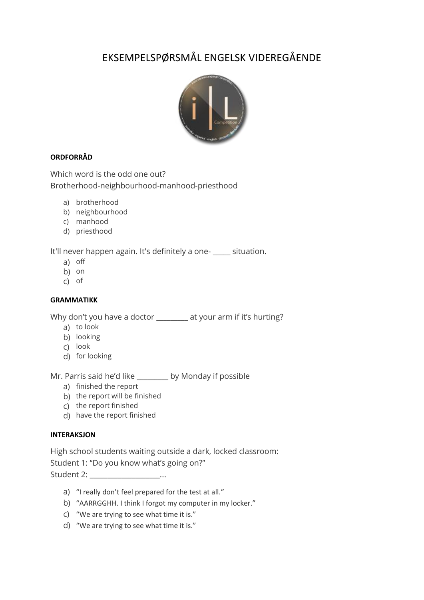# EKSEMPELSPØRSMÅL ENGELSK VIDEREGÅENDE



## **ORDFORRÅD**

Which word is the odd one out? Brotherhood-neighbourhood-manhood-priesthood

- a) brotherhood
- b) neighbourhood
- c) manhood
- d) priesthood

It'll never happen again. It's definitely a one- \_\_\_\_\_ situation.

- a) off
- b) on
- c) of

### **GRAMMATIKK**

Why don't you have a doctor \_\_\_\_\_\_\_\_ at your arm if it's hurting?

- a) to look
- b) looking
- c) look
- d) for looking

Mr. Parris said he'd like \_\_\_\_\_\_\_\_\_ by Monday if possible

- a) finished the report
- b) the report will be finished
- c) the report finished
- d) have the report finished

#### **INTERAKSJON**

High school students waiting outside a dark, locked classroom: Student 1: "Do you know what's going on?" Student 2: The contract of the contract of the contract of the contract of the contract of the contract of the contract of the contract of the contract of the contract of the contract of the contract of the contract of the

- a) "I really don't feel prepared for the test at all."
- b) "AARRGGHH. I think I forgot my computer in my locker."
- c) "We are trying to see what time it is."
- d) "We are trying to see what time it is."